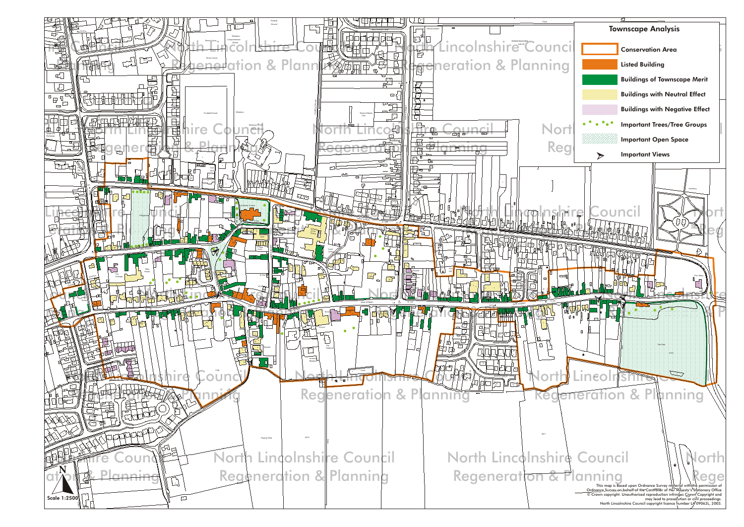